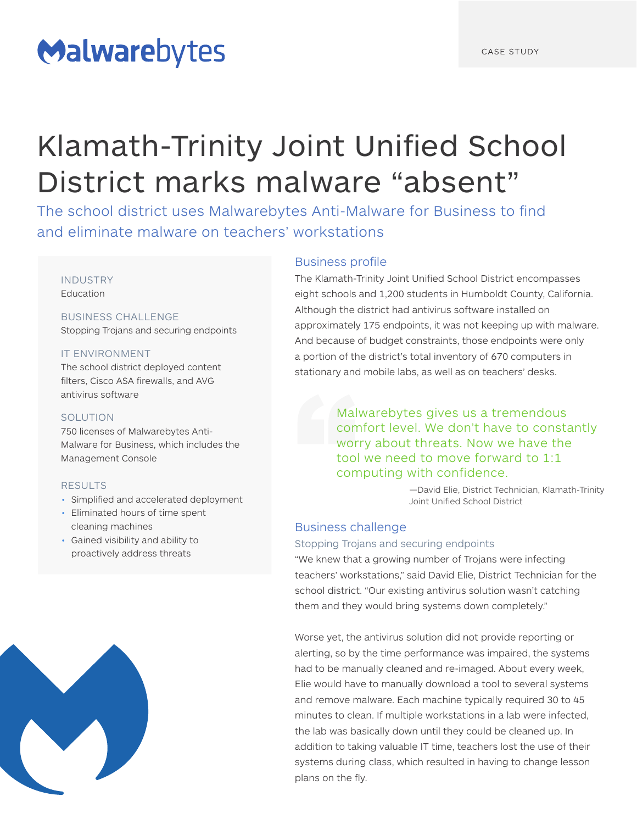# Malwarebytes

# Klamath-Trinity Joint Unified School District marks malware "absent"

The school district uses Malwarebytes Anti-Malware for Business to find and eliminate malware on teachers' workstations

# INDUSTRY

**Education** 

## BUSINESS CHALLENGE

Stopping Trojans and securing endpoints

### IT ENVIRONMENT

The school district deployed content filters, Cisco ASA firewalls, and AVG antivirus software

### SOLUTION

750 licenses of Malwarebytes Anti-Malware for Business, which includes the Management Console

### RESULTS

- Simplified and accelerated deployment
- Eliminated hours of time spent cleaning machines
- Gained visibility and ability to proactively address threats



## Business profile

The Klamath-Trinity Joint Unified School District encompasses eight schools and 1,200 students in Humboldt County, California. Although the district had antivirus software installed on approximately 175 endpoints, it was not keeping up with malware. And because of budget constraints, those endpoints were only a portion of the district's total inventory of 670 computers in stationary and mobile labs, as well as on teachers' desks.

> Malwarebytes gives us a tremendous comfort level. We don't have to constantly worry about threats. Now we have the tool we need to move forward to 1:1 computing with confidence.

> > —David Elie, District Technician, Klamath-Trinity Joint Unified School District

## Business challenge

#### Stopping Trojans and securing endpoints

"We knew that a growing number of Trojans were infecting teachers' workstations," said David Elie, District Technician for the school district. "Our existing antivirus solution wasn't catching them and they would bring systems down completely."

Worse yet, the antivirus solution did not provide reporting or alerting, so by the time performance was impaired, the systems had to be manually cleaned and re-imaged. About every week, Elie would have to manually download a tool to several systems and remove malware. Each machine typically required 30 to 45 minutes to clean. If multiple workstations in a lab were infected, the lab was basically down until they could be cleaned up. In addition to taking valuable IT time, teachers lost the use of their systems during class, which resulted in having to change lesson plans on the fly.